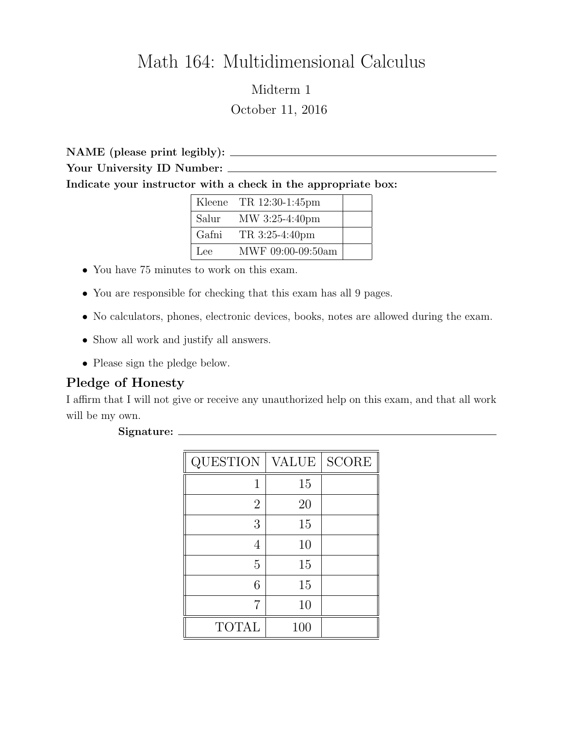## Math 164: Multidimensional Calculus

Midterm 1 October 11, 2016

NAME (please print legibly): Your University ID Number: Indicate your instructor with a check in the appropriate box:

|       | Kleene TR $12:30-1:45$ pm |  |
|-------|---------------------------|--|
| Salur | MW 3:25-4:40pm            |  |
| Gafni | TR 3:25-4:40pm            |  |
| Lee   | MWF 09:00-09:50am         |  |

- You have 75 minutes to work on this exam.
- You are responsible for checking that this exam has all 9 pages.
- No calculators, phones, electronic devices, books, notes are allowed during the exam.
- Show all work and justify all answers.
- Please sign the pledge below.

## Pledge of Honesty

I affirm that I will not give or receive any unauthorized help on this exam, and that all work will be my own.

## Signature:

| QUESTION       | VALUE | <b>SCORE</b> |
|----------------|-------|--------------|
|                | 15    |              |
| $\overline{2}$ | 20    |              |
| 3              | 15    |              |
| 4              | 10    |              |
| 5              | 15    |              |
| 6              | 15    |              |
| 7              | 10    |              |
| <b>TOTAL</b>   | 100   |              |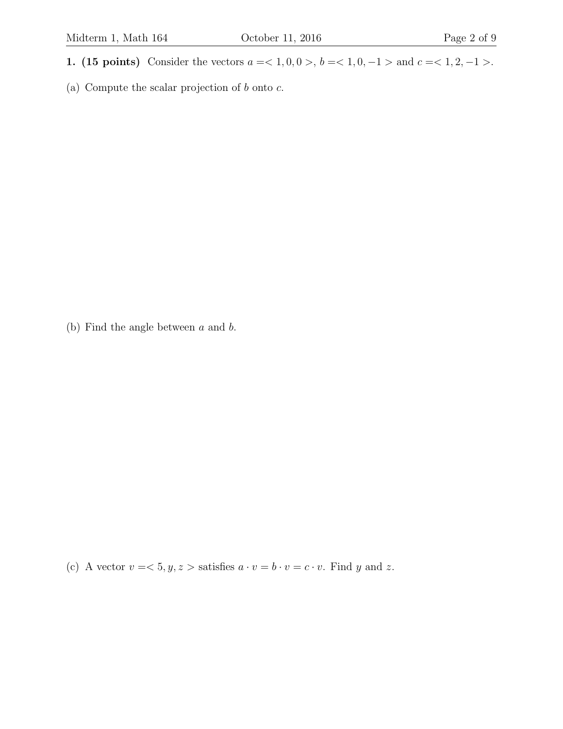- 1. (15 points) Consider the vectors  $a = 1, 0, 0 > 0, b = 1, 0, -1 > 0$  and  $c = 1, 2, -1 > 0$ .
- (a) Compute the scalar projection of  $b$  onto  $c$ .

(b) Find the angle between a and b.

(c) A vector  $v = \langle 5, y, z \rangle$  satisfies  $a \cdot v = b \cdot v = c \cdot v$ . Find y and z.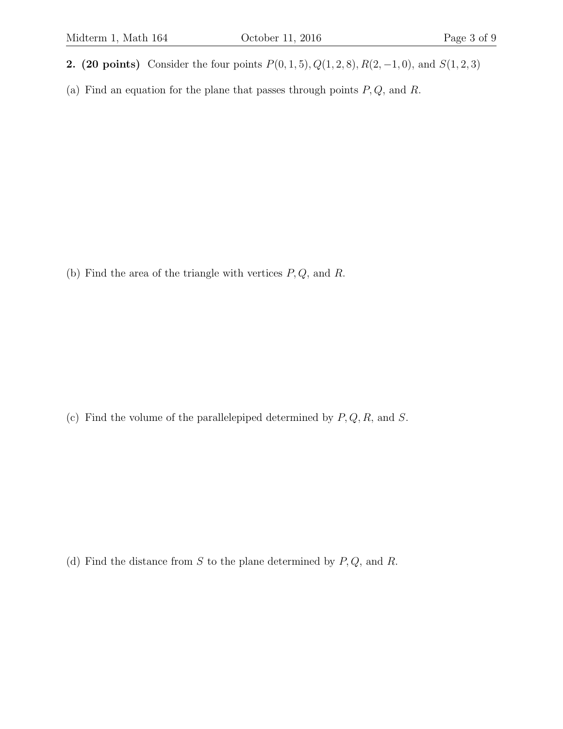- 2. (20 points) Consider the four points  $P(0, 1, 5), Q(1, 2, 8), R(2, -1, 0)$ , and  $S(1, 2, 3)$
- (a) Find an equation for the plane that passes through points  $P, Q$ , and  $R$ .

(b) Find the area of the triangle with vertices  $P, Q$ , and  $R$ .

(c) Find the volume of the parallelepiped determined by  $P, Q, R$ , and  $S$ .

(d) Find the distance from  $S$  to the plane determined by  $P, Q$ , and  $R$ .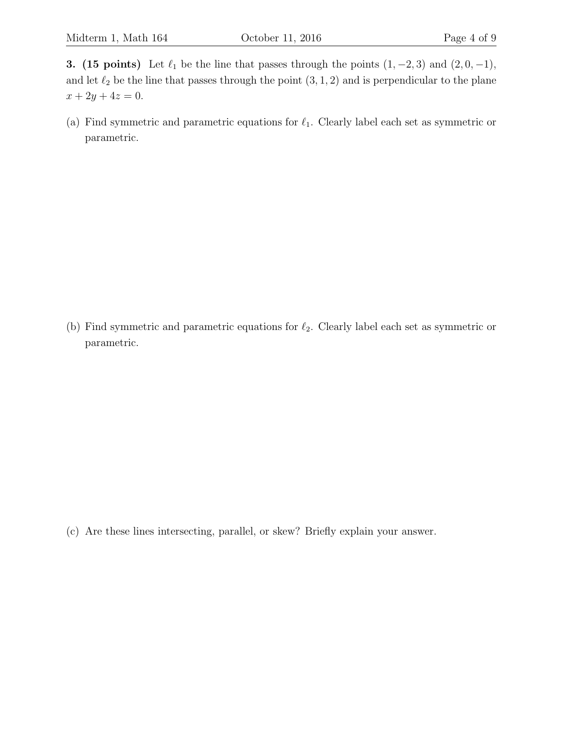3. (15 points) Let  $\ell_1$  be the line that passes through the points  $(1, -2, 3)$  and  $(2, 0, -1)$ , and let  $\ell_2$  be the line that passes through the point  $(3, 1, 2)$  and is perpendicular to the plane  $x + 2y + 4z = 0.$ 

(a) Find symmetric and parametric equations for  $\ell_1$ . Clearly label each set as symmetric or parametric.

(b) Find symmetric and parametric equations for  $\ell_2$ . Clearly label each set as symmetric or parametric.

(c) Are these lines intersecting, parallel, or skew? Briefly explain your answer.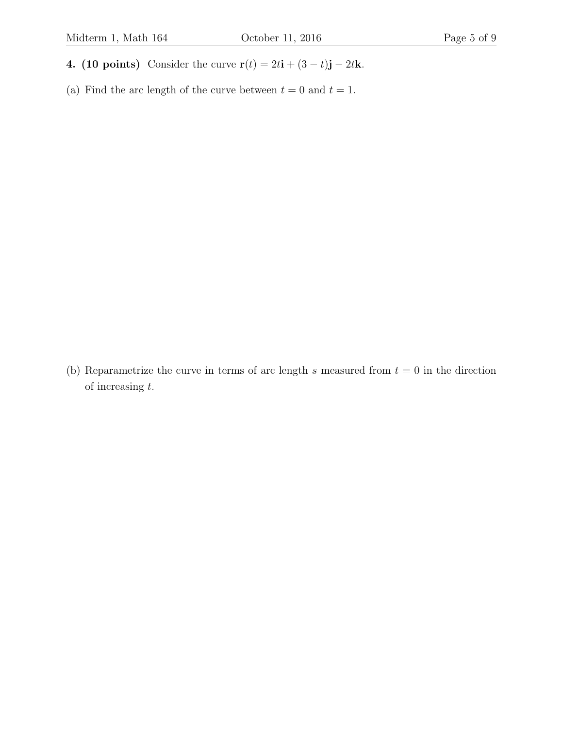- 4. (10 points) Consider the curve  $\mathbf{r}(t) = 2t\mathbf{i} + (3 t)\mathbf{j} 2t\mathbf{k}$ .
- (a) Find the arc length of the curve between  $t = 0$  and  $t = 1$ .

(b) Reparametrize the curve in terms of arc length s measured from  $t = 0$  in the direction of increasing t.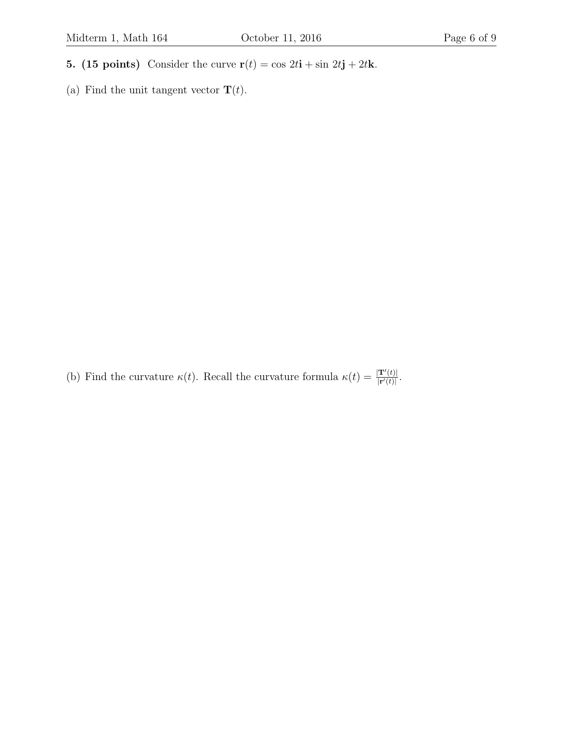- 5. (15 points) Consider the curve  $\mathbf{r}(t) = \cos 2t\mathbf{i} + \sin 2t\mathbf{j} + 2t\mathbf{k}$ .
- (a) Find the unit tangent vector  $\mathbf{T}(t).$

(b) Find the curvature  $\kappa(t)$ . Recall the curvature formula  $\kappa(t) = \frac{|\mathbf{T}'(t)|}{|\mathbf{r}'(t)|}$  $\frac{|\mathbf{T}'(t)|}{|\mathbf{r}'(t)|}.$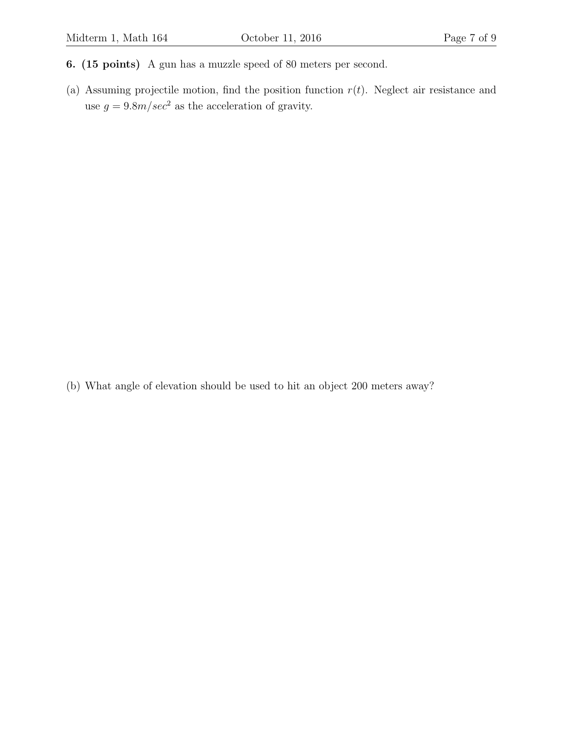- 6. (15 points) A gun has a muzzle speed of 80 meters per second.
- (a) Assuming projectile motion, find the position function  $r(t)$ . Neglect air resistance and use  $g = 9.8m/sec<sup>2</sup>$  as the acceleration of gravity.

(b) What angle of elevation should be used to hit an object 200 meters away?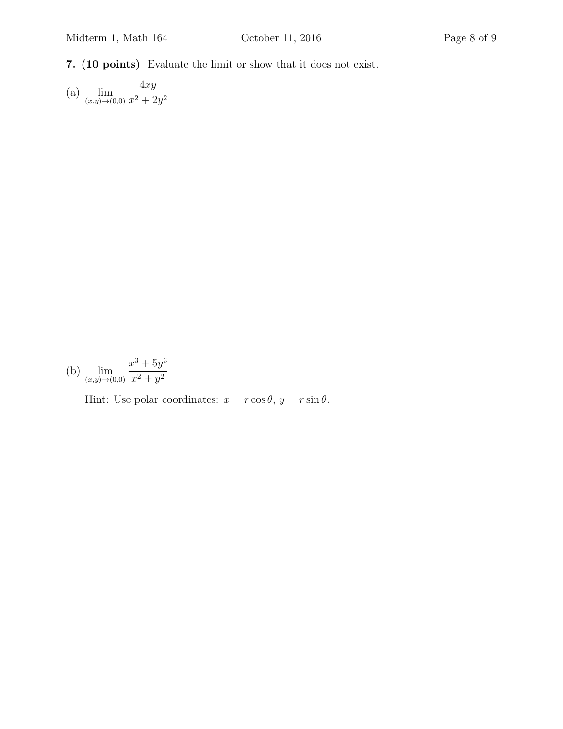7. (10 points) Evaluate the limit or show that it does not exist.

(a)  $\lim_{(x,y)\to(0,0)}$  $4xy$  $x^2 + 2y^2$ 

(b) 
$$
\lim_{(x,y)\to(0,0)}\frac{x^3+5y^3}{x^2+y^2}
$$

Hint: Use polar coordinates:  $x = r \cos \theta$ ,  $y = r \sin \theta$ .